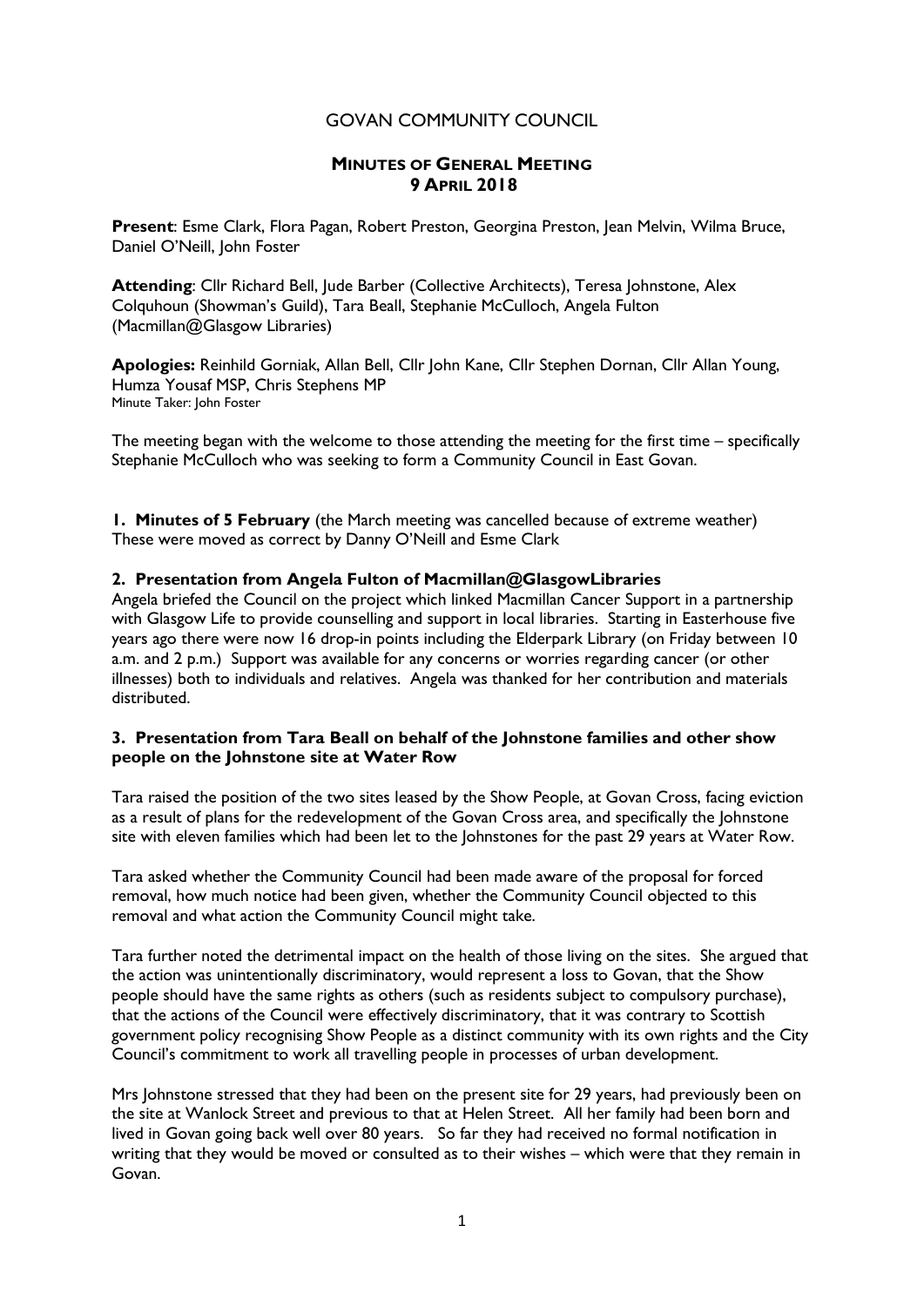## GOVAN COMMUNITY COUNCIL

# MINUTES OF GENERAL MEETING 9 APRIL 2018

Present: Esme Clark, Flora Pagan, Robert Preston, Georgina Preston, Jean Melvin, Wilma Bruce, Daniel O'Neill, John Foster

Attending: Cllr Richard Bell, Jude Barber (Collective Architects), Teresa Johnstone, Alex Colquhoun (Showman's Guild), Tara Beall, Stephanie McCulloch, Angela Fulton (Macmillan@Glasgow Libraries)

Apologies: Reinhild Gorniak, Allan Bell, Cllr John Kane, Cllr Stephen Dornan, Cllr Allan Young, Humza Yousaf MSP, Chris Stephens MP Minute Taker: John Foster

The meeting began with the welcome to those attending the meeting for the first time – specifically Stephanie McCulloch who was seeking to form a Community Council in East Govan.

1. Minutes of 5 February (the March meeting was cancelled because of extreme weather) These were moved as correct by Danny O'Neill and Esme Clark

## 2. Presentation from Angela Fulton of Macmillan@GlasgowLibraries

Angela briefed the Council on the project which linked Macmillan Cancer Support in a partnership with Glasgow Life to provide counselling and support in local libraries. Starting in Easterhouse five years ago there were now 16 drop-in points including the Elderpark Library (on Friday between 10 a.m. and 2 p.m.) Support was available for any concerns or worries regarding cancer (or other illnesses) both to individuals and relatives. Angela was thanked for her contribution and materials distributed.

#### 3. Presentation from Tara Beall on behalf of the Johnstone families and other show people on the Johnstone site at Water Row

Tara raised the position of the two sites leased by the Show People, at Govan Cross, facing eviction as a result of plans for the redevelopment of the Govan Cross area, and specifically the Johnstone site with eleven families which had been let to the Johnstones for the past 29 years at Water Row.

Tara asked whether the Community Council had been made aware of the proposal for forced removal, how much notice had been given, whether the Community Council objected to this removal and what action the Community Council might take.

Tara further noted the detrimental impact on the health of those living on the sites. She argued that the action was unintentionally discriminatory, would represent a loss to Govan, that the Show people should have the same rights as others (such as residents subject to compulsory purchase), that the actions of the Council were effectively discriminatory, that it was contrary to Scottish government policy recognising Show People as a distinct community with its own rights and the City Council's commitment to work all travelling people in processes of urban development.

Mrs Johnstone stressed that they had been on the present site for 29 years, had previously been on the site at Wanlock Street and previous to that at Helen Street. All her family had been born and lived in Govan going back well over 80 years. So far they had received no formal notification in writing that they would be moved or consulted as to their wishes – which were that they remain in Govan.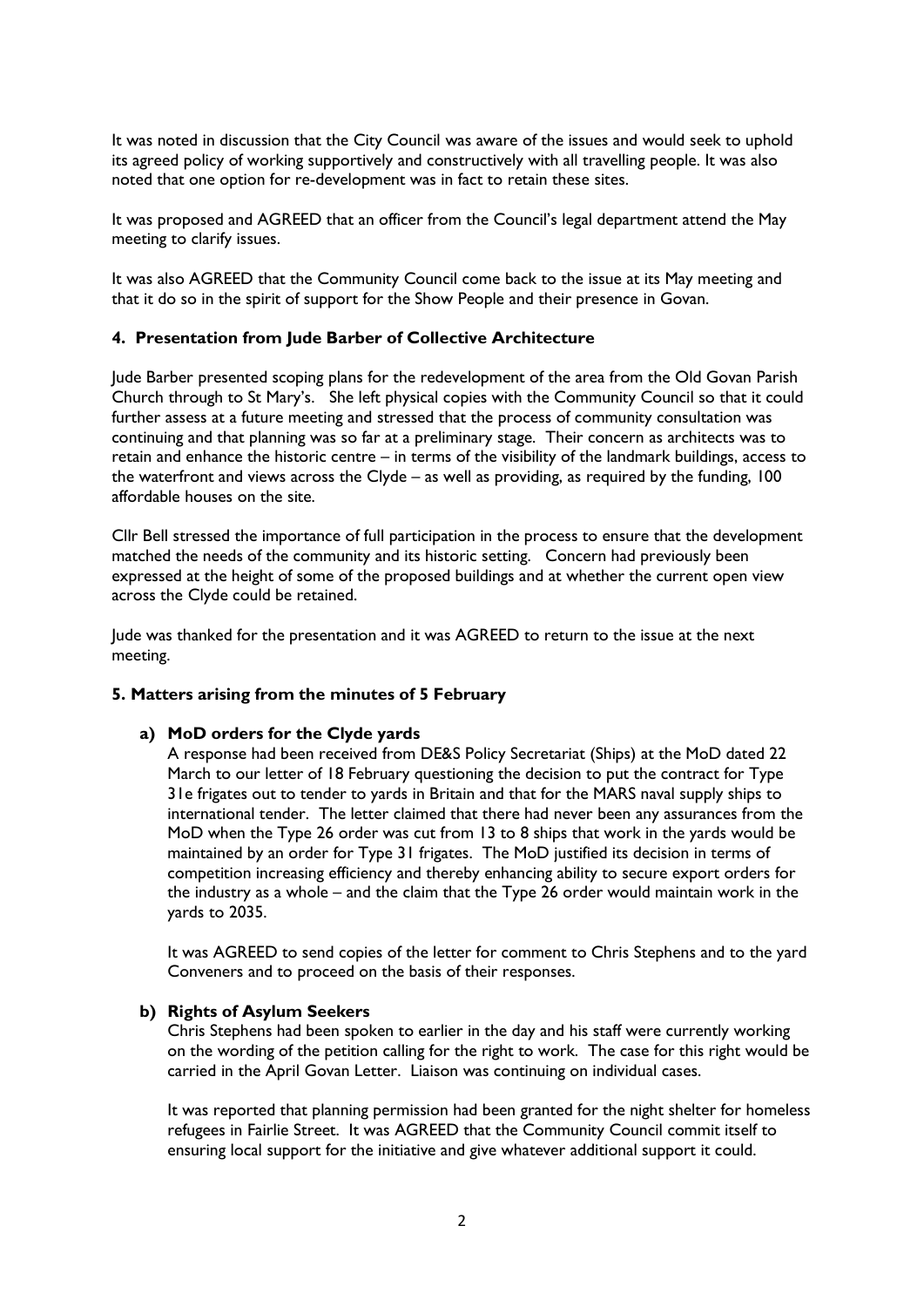It was noted in discussion that the City Council was aware of the issues and would seek to uphold its agreed policy of working supportively and constructively with all travelling people. It was also noted that one option for re-development was in fact to retain these sites.

It was proposed and AGREED that an officer from the Council's legal department attend the May meeting to clarify issues.

It was also AGREED that the Community Council come back to the issue at its May meeting and that it do so in the spirit of support for the Show People and their presence in Govan.

## 4. Presentation from Jude Barber of Collective Architecture

Jude Barber presented scoping plans for the redevelopment of the area from the Old Govan Parish Church through to St Mary's. She left physical copies with the Community Council so that it could further assess at a future meeting and stressed that the process of community consultation was continuing and that planning was so far at a preliminary stage. Their concern as architects was to retain and enhance the historic centre – in terms of the visibility of the landmark buildings, access to the waterfront and views across the Clyde – as well as providing, as required by the funding, 100 affordable houses on the site.

Cllr Bell stressed the importance of full participation in the process to ensure that the development matched the needs of the community and its historic setting. Concern had previously been expressed at the height of some of the proposed buildings and at whether the current open view across the Clyde could be retained.

Jude was thanked for the presentation and it was AGREED to return to the issue at the next meeting.

#### 5. Matters arising from the minutes of 5 February

#### a) MoD orders for the Clyde yards

A response had been received from DE&S Policy Secretariat (Ships) at the MoD dated 22 March to our letter of 18 February questioning the decision to put the contract for Type 31e frigates out to tender to yards in Britain and that for the MARS naval supply ships to international tender. The letter claimed that there had never been any assurances from the MoD when the Type 26 order was cut from 13 to 8 ships that work in the yards would be maintained by an order for Type 31 frigates. The MoD justified its decision in terms of competition increasing efficiency and thereby enhancing ability to secure export orders for the industry as a whole – and the claim that the Type 26 order would maintain work in the yards to 2035.

It was AGREED to send copies of the letter for comment to Chris Stephens and to the yard Conveners and to proceed on the basis of their responses.

## b) Rights of Asylum Seekers

Chris Stephens had been spoken to earlier in the day and his staff were currently working on the wording of the petition calling for the right to work. The case for this right would be carried in the April Govan Letter. Liaison was continuing on individual cases.

It was reported that planning permission had been granted for the night shelter for homeless refugees in Fairlie Street. It was AGREED that the Community Council commit itself to ensuring local support for the initiative and give whatever additional support it could.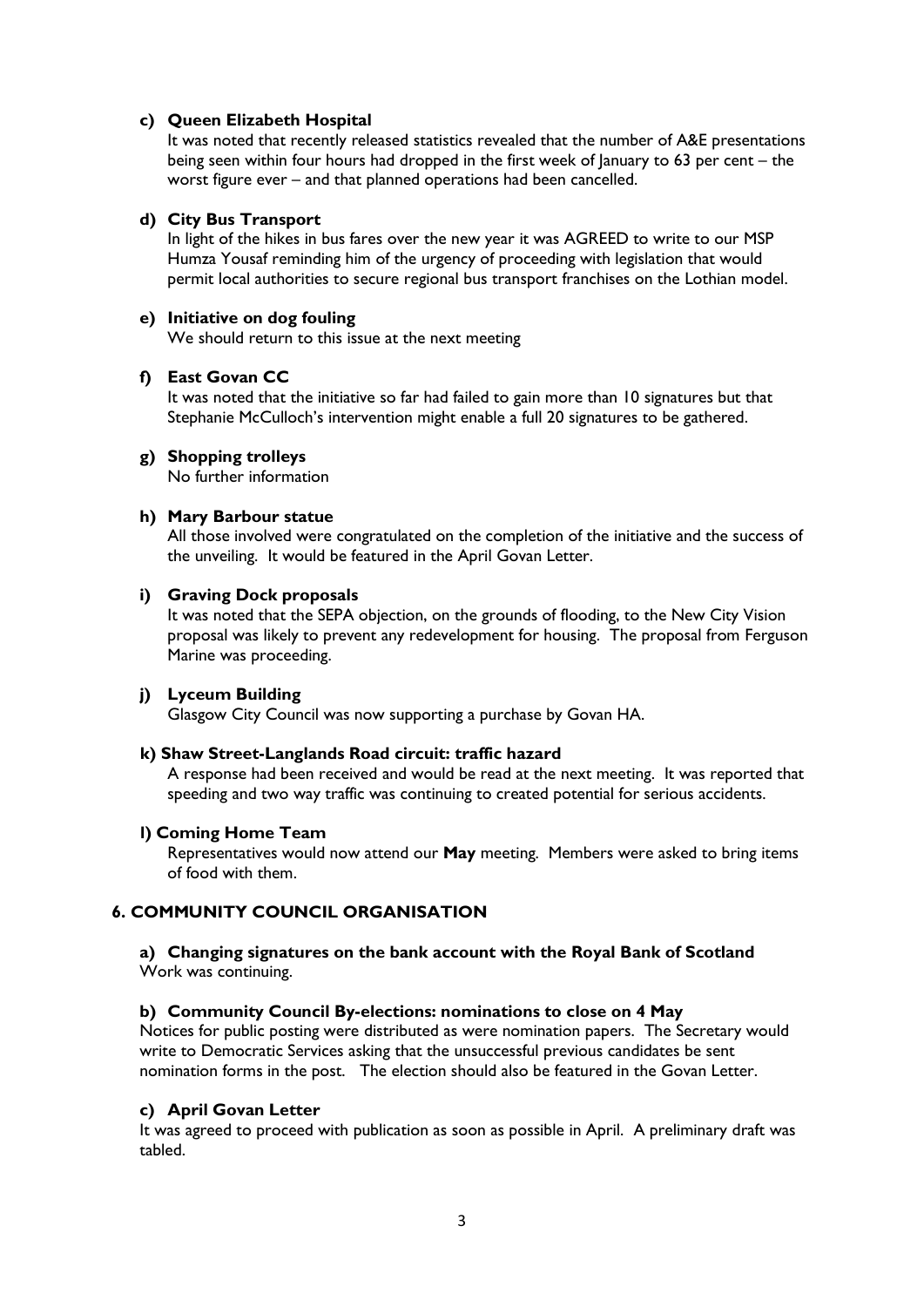### c) Queen Elizabeth Hospital

It was noted that recently released statistics revealed that the number of A&E presentations being seen within four hours had dropped in the first week of January to 63 per cent – the worst figure ever – and that planned operations had been cancelled.

### d) City Bus Transport

In light of the hikes in bus fares over the new year it was AGREED to write to our MSP Humza Yousaf reminding him of the urgency of proceeding with legislation that would permit local authorities to secure regional bus transport franchises on the Lothian model.

### e) Initiative on dog fouling

We should return to this issue at the next meeting

## f) East Govan CC

It was noted that the initiative so far had failed to gain more than 10 signatures but that Stephanie McCulloch's intervention might enable a full 20 signatures to be gathered.

## g) Shopping trolleys

No further information

## h) Mary Barbour statue

All those involved were congratulated on the completion of the initiative and the success of the unveiling. It would be featured in the April Govan Letter.

#### i) Graving Dock proposals

It was noted that the SEPA objection, on the grounds of flooding, to the New City Vision proposal was likely to prevent any redevelopment for housing. The proposal from Ferguson Marine was proceeding.

#### j) Lyceum Building

Glasgow City Council was now supporting a purchase by Govan HA.

#### k) Shaw Street-Langlands Road circuit: traffic hazard

A response had been received and would be read at the next meeting. It was reported that speeding and two way traffic was continuing to created potential for serious accidents.

#### l) Coming Home Team

Representatives would now attend our May meeting. Members were asked to bring items of food with them.

## 6. COMMUNITY COUNCIL ORGANISATION

#### a) Changing signatures on the bank account with the Royal Bank of Scotland Work was continuing.

## b) Community Council By-elections: nominations to close on 4 May

Notices for public posting were distributed as were nomination papers. The Secretary would write to Democratic Services asking that the unsuccessful previous candidates be sent nomination forms in the post. The election should also be featured in the Govan Letter.

#### c) April Govan Letter

It was agreed to proceed with publication as soon as possible in April. A preliminary draft was tabled.